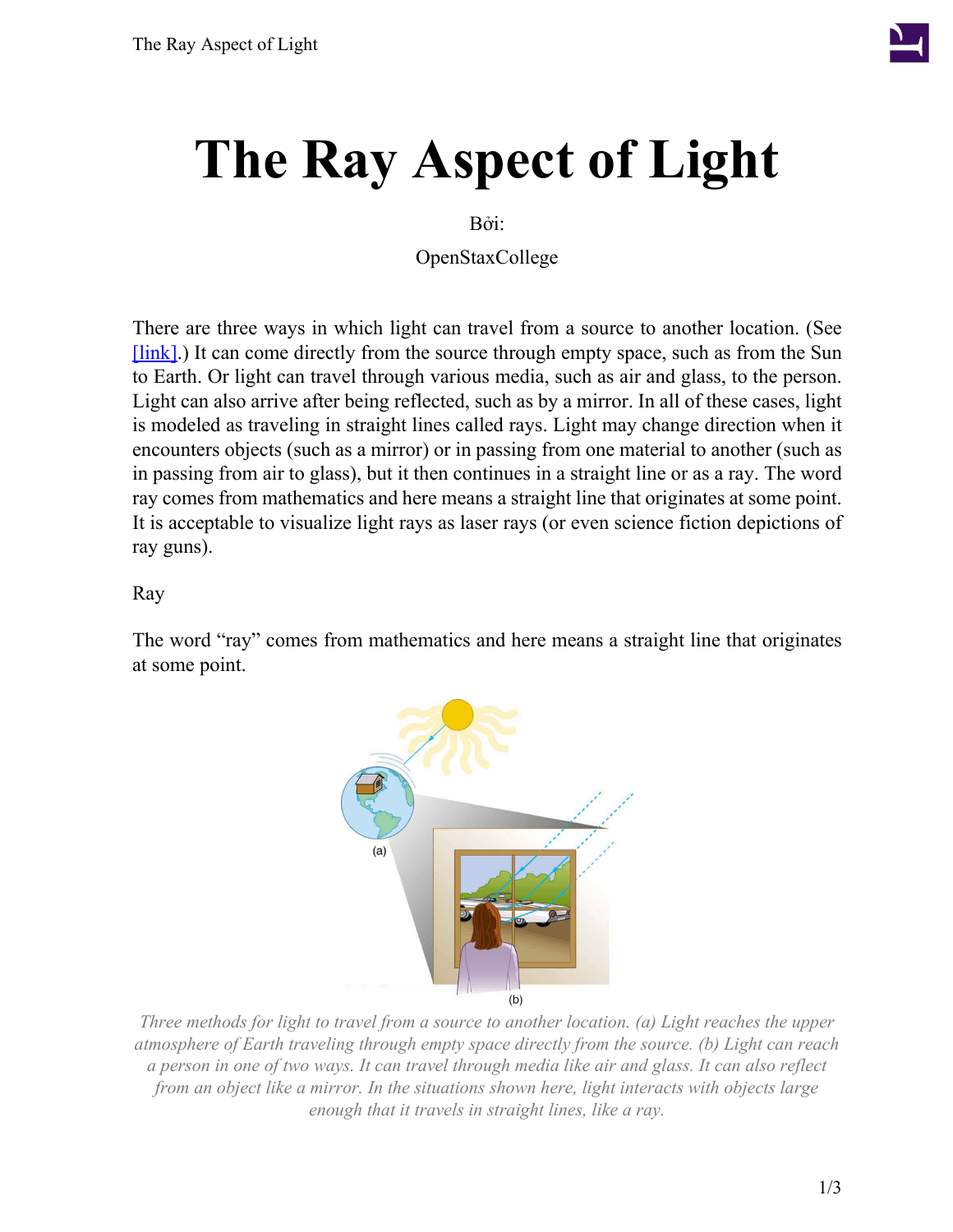

# **The Ray Aspect of Light**

Bởi:

OpenStaxCollege

There are three ways in which light can travel from a source to another location. (See [\[link\].](#page-0-0)) It can come directly from the source through empty space, such as from the Sun to Earth. Or light can travel through various media, such as air and glass, to the person. Light can also arrive after being reflected, such as by a mirror. In all of these cases, light is modeled as traveling in straight lines called rays. Light may change direction when it encounters objects (such as a mirror) or in passing from one material to another (such as in passing from air to glass), but it then continues in a straight line or as a ray. The word ray comes from mathematics and here means a straight line that originates at some point. It is acceptable to visualize light rays as laser rays (or even science fiction depictions of ray guns).

#### Ray

<span id="page-0-0"></span>The word "ray" comes from mathematics and here means a straight line that originates at some point.



*Three methods for light to travel from a source to another location. (a) Light reaches the upper atmosphere of Earth traveling through empty space directly from the source. (b) Light can reach a person in one of two ways. It can travel through media like air and glass. It can also reflect from an object like a mirror. In the situations shown here, light interacts with objects large enough that it travels in straight lines, like a ray.*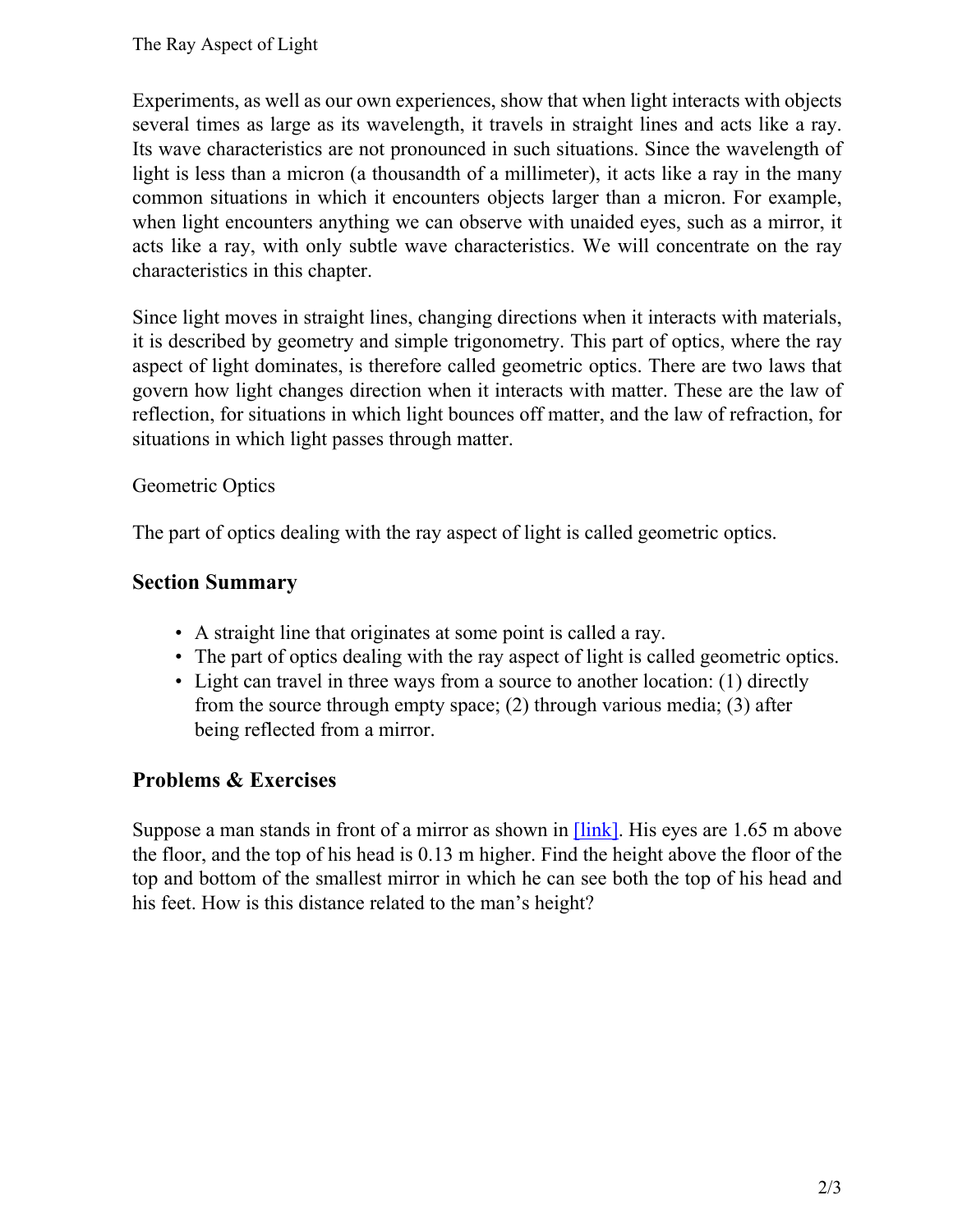Experiments, as well as our own experiences, show that when light interacts with objects several times as large as its wavelength, it travels in straight lines and acts like a ray. Its wave characteristics are not pronounced in such situations. Since the wavelength of light is less than a micron (a thousandth of a millimeter), it acts like a ray in the many common situations in which it encounters objects larger than a micron. For example, when light encounters anything we can observe with unaided eyes, such as a mirror, it acts like a ray, with only subtle wave characteristics. We will concentrate on the ray characteristics in this chapter.

Since light moves in straight lines, changing directions when it interacts with materials, it is described by geometry and simple trigonometry. This part of optics, where the ray aspect of light dominates, is therefore called geometric optics. There are two laws that govern how light changes direction when it interacts with matter. These are the law of reflection, for situations in which light bounces off matter, and the law of refraction, for situations in which light passes through matter.

### Geometric Optics

The part of optics dealing with the ray aspect of light is called geometric optics.

### **Section Summary**

- A straight line that originates at some point is called a ray.
- The part of optics dealing with the ray aspect of light is called geometric optics.
- Light can travel in three ways from a source to another location: (1) directly from the source through empty space; (2) through various media; (3) after being reflected from a mirror.

## **Problems & Exercises**

Suppose a man stands in front of a mirror as shown in **[link]**. His eyes are 1.65 m above the floor, and the top of his head is 0.13 m higher. Find the height above the floor of the top and bottom of the smallest mirror in which he can see both the top of his head and his feet. How is this distance related to the man's height?